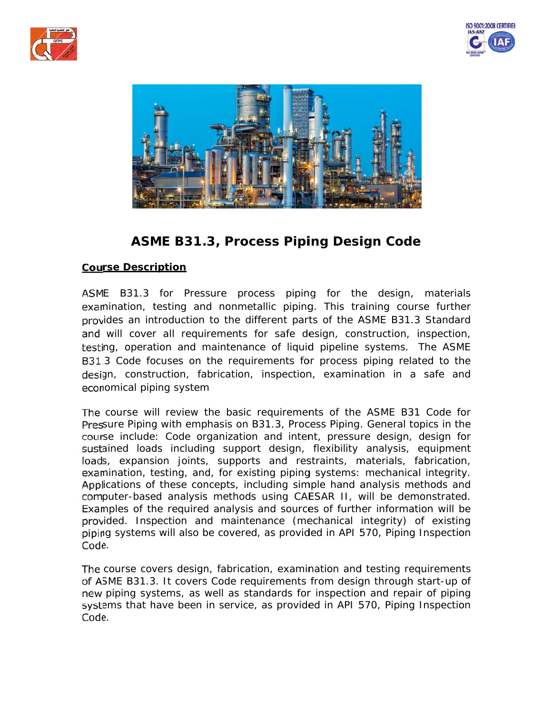





# **ASME B31.3, Process Piping Design Code**

## **rse Descr iption**

E B31.3 for Pressure process piping for the design, materials mination, testing and nonmetallic piping. This training course further ides an introduction to the different parts of the ASME B31.3 Standard will cover all requirements for safe design, construction, inspection, ng, operation and maintenance of liquid pipeline systems. The ASME 3 Code focuses on the requirements for process piping related to the gn, construction, fabrication, inspection, examination in a safe and nomical pip ping system

omical piping system<br>course will review the basic requirements of the ASME B31 Code for sure Piping with emphasis on B31.3, Process Piping. General topics in the se include: Code organization and intent, pressure design, design for ained loads including support design, flexibility analysis, equipment s, expansion joints, supports and restraints, materials, fabrication, mination, testing, and, for existing piping systems: mechanical integrity. ications of these concepts, including simple hand analysis methods and puter-based analysis methods using CAESAR II, will be demonstrated. mples of the required analysis and sources of further information will be ided. Inspection and maintenance (mechanical integrity) of existing ng systems will also be covered, as provided in API 570, Piping Inspection Code.

course covers design, fabrication, examination and testing requirements SME B31.3. It covers Code requirements from design through start-up of piping systems, as well as standards for inspection and repair of piping ems that have been in service, as provided in API 570, Piping Inspection Code.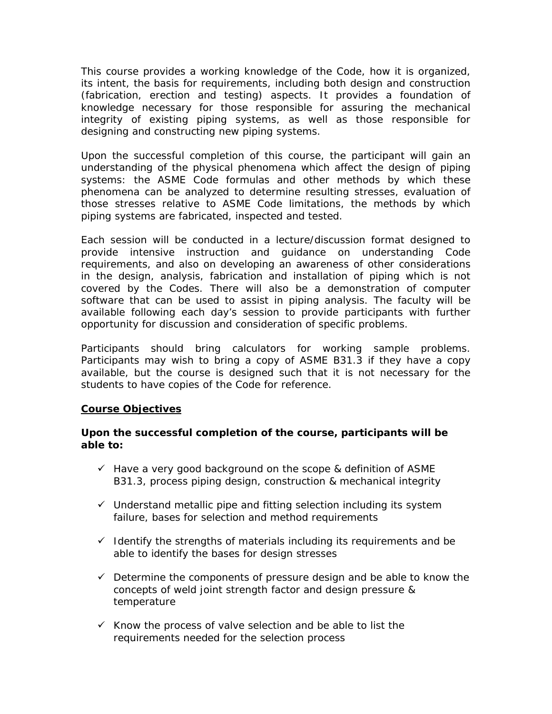This course provides a working knowledge of the Code, how it is organized, its intent, the basis for requirements, including both design and construction (fabrication, erection and testing) aspects. It provides a foundation of knowledge necessary for those responsible for assuring the mechanical integrity of existing piping systems, as well as those responsible for designing and constructing new piping systems.

Upon the successful completion of this course, the participant will gain an understanding of the physical phenomena which affect the design of piping systems: the ASME Code formulas and other methods by which these phenomena can be analyzed to determine resulting stresses, evaluation of those stresses relative to ASME Code limitations, the methods by which piping systems are fabricated, inspected and tested.

Each session will be conducted in a lecture/discussion format designed to provide intensive instruction and guidance on understanding Code requirements, and also on developing an awareness of other considerations in the design, analysis, fabrication and installation of piping which is not covered by the Codes. There will also be a demonstration of computer software that can be used to assist in piping analysis. The faculty will be available following each day's session to provide participants with further opportunity for discussion and consideration of specific problems.

Participants should bring calculators for working sample problems. Participants may wish to bring a copy of ASME B31.3 if they have a copy available, but the course is designed such that it is not necessary for the students to have copies of the Code for reference.

## **Course Objectives**

## **Upon the successful completion of the course, participants will be able to:**

- $\checkmark$  Have a very good background on the scope & definition of ASME B31.3, process piping design, construction & mechanical integrity
- $\checkmark$  Understand metallic pipe and fitting selection including its system failure, bases for selection and method requirements
- $\checkmark$  Identify the strengths of materials including its requirements and be able to identify the bases for design stresses
- $\checkmark$  Determine the components of pressure design and be able to know the concepts of weld joint strength factor and design pressure & temperature
- $\checkmark$  Know the process of valve selection and be able to list the requirements needed for the selection process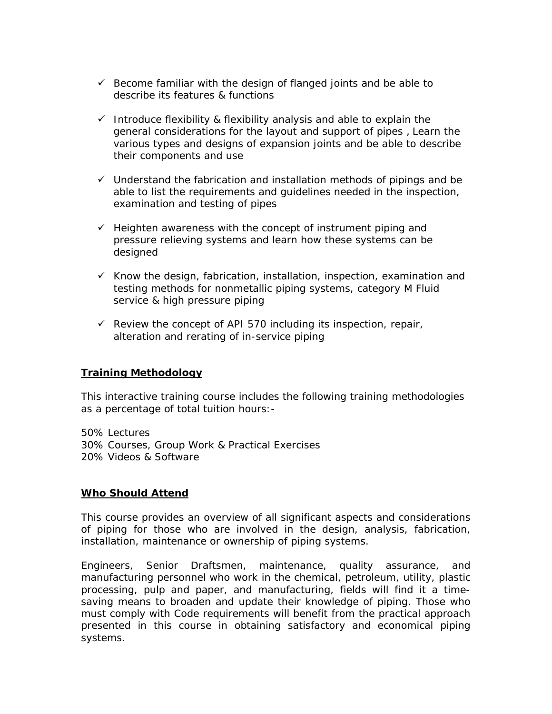- $\checkmark$  Become familiar with the design of flanged joints and be able to describe its features & functions
- $\checkmark$  Introduce flexibility & flexibility analysis and able to explain the general considerations for the layout and support of pipes, Learn the various types and designs of expansion joints and be able to describe their components and use
- $\checkmark$  Understand the fabrication and installation methods of pipings and be able to list the requirements and guidelines needed in the inspection, examination and testing of pipes
- $\checkmark$  Heighten awareness with the concept of instrument piping and pressure relieving systems and learn how these systems can be designed
- $\checkmark$  Know the design, fabrication, installation, inspection, examination and testing methods for nonmetallic piping systems, category M Fluid service & high pressure piping
- $\checkmark$  Review the concept of API 570 including its inspection, repair, alteration and rerating of in-service piping

## **Training Methodology**

This interactive training course includes the following training methodologies as a percentage of total tuition hours:-

50% Lectures 30% Courses, Group Work & Practical Exercises 20% Videos & Software

## **Who Should Attend**

This course provides an overview of all significant aspects and considerations of piping for those who are involved in the design, analysis, fabrication, installation, maintenance or ownership of piping systems.

Engineers, Senior Draftsmen, maintenance, quality assurance, and manufacturing personnel who work in the chemical, petroleum, utility, plastic processing, pulp and paper, and manufacturing, fields will find it a timesaving means to broaden and update their knowledge of piping. Those who must comply with Code requirements will benefit from the practical approach presented in this course in obtaining satisfactory and economical piping systems.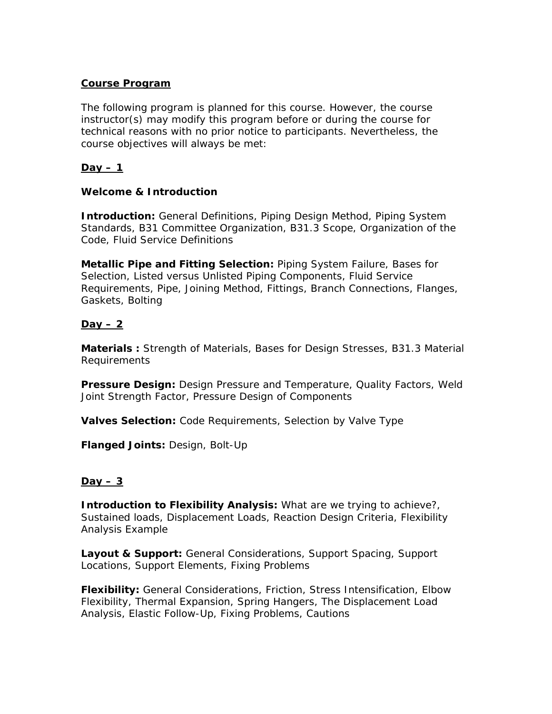## **Course Program**

The following program is planned for this course. However, the course instructor(s) may modify this program before or during the course for technical reasons with no prior notice to participants. Nevertheless, the course objectives will always be met:

## **Day – 1**

## **Welcome & Introduction**

**Introduction:** General Definitions, Piping Design Method, Piping System Standards, B31 Committee Organization, B31.3 Scope, Organization of the Code, Fluid Service Definitions

**Metallic Pipe and Fitting Selection:** Piping System Failure, Bases for Selection, Listed versus Unlisted Piping Components, Fluid Service Requirements, Pipe, Joining Method, Fittings, Branch Connections, Flanges, Gaskets, Bolting

## **Day – 2**

**Materials :** Strength of Materials, Bases for Design Stresses, B31.3 Material Requirements

**Pressure Design:** Design Pressure and Temperature, Quality Factors, Weld Joint Strength Factor, Pressure Design of Components

**Valves Selection:** Code Requirements, Selection by Valve Type

**Flanged Joints:** Design, Bolt-Up

## **Day – 3**

**Introduction to Flexibility Analysis:** What are we trying to achieve?, Sustained loads, Displacement Loads, Reaction Design Criteria, Flexibility Analysis Example

**Layout & Support:** General Considerations, Support Spacing, Support Locations, Support Elements, Fixing Problems

**Flexibility:** General Considerations, Friction, Stress Intensification, Elbow Flexibility, Thermal Expansion, Spring Hangers, The Displacement Load Analysis, Elastic Follow-Up, Fixing Problems, Cautions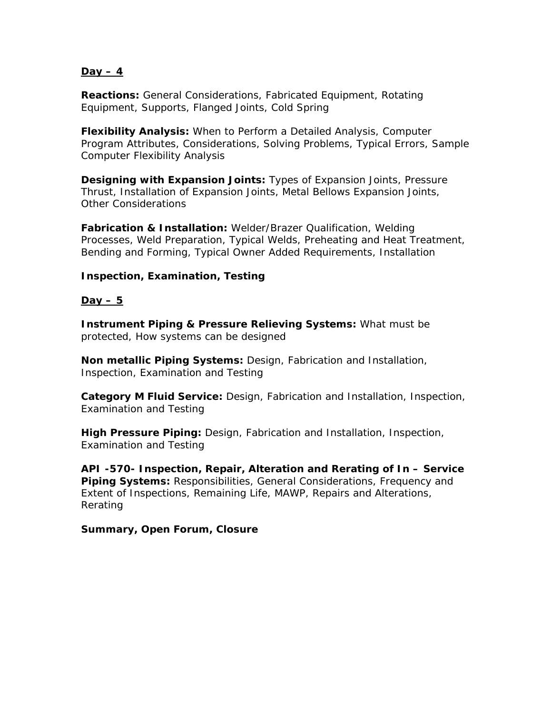### **Day – 4**

**Reactions:** General Considerations, Fabricated Equipment, Rotating Equipment, Supports, Flanged Joints, Cold Spring

**Flexibility Analysis:** When to Perform a Detailed Analysis, Computer Program Attributes, Considerations, Solving Problems, Typical Errors, Sample Computer Flexibility Analysis

**Designing with Expansion Joints:** Types of Expansion Joints, Pressure Thrust, Installation of Expansion Joints, Metal Bellows Expansion Joints, Other Considerations

**Fabrication & Installation:** Welder/Brazer Qualification, Welding Processes, Weld Preparation, Typical Welds, Preheating and Heat Treatment, Bending and Forming, Typical Owner Added Requirements, Installation

## **Inspection, Examination, Testing**

### $\overline{$

**Instrument Piping & Pressure Relieving Systems:** What must be protected, How systems can be designed

**Non metallic Piping Systems:** Design, Fabrication and Installation, Inspection, Examination and Testing

**Category M Fluid Service:** Design, Fabrication and Installation, Inspection, Examination and Testing

**High Pressure Piping:** Design, Fabrication and Installation, Inspection, Examination and Testing

**API -570- Inspection, Repair, Alteration and Rerating of In – Service Piping Systems:** Responsibilities, General Considerations, Frequency and Extent of Inspections, Remaining Life, MAWP, Repairs and Alterations, Rerating

#### **Summary, Open Forum, Closure**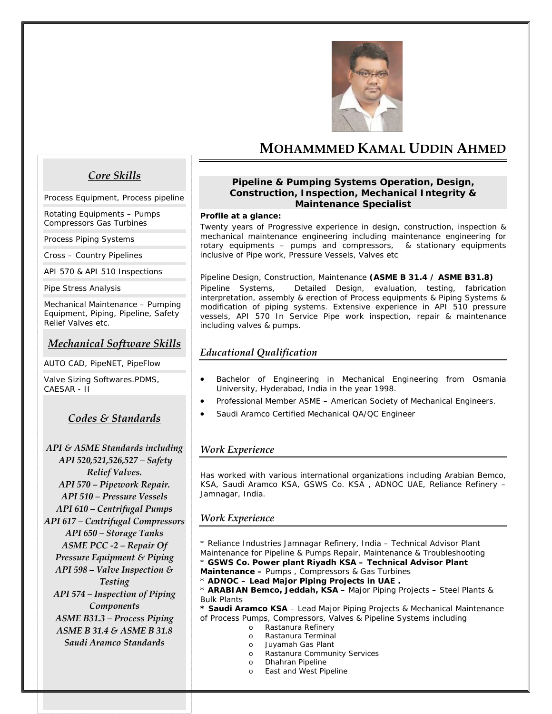

# **MOHAMMMED KAMAL UDDIN AHMED**

## *Core Skills*

*Process Equipment, Process pipeline* 

*Rotating Equipments – Pumps Compressors Gas Turbines* 

*Process Piping Systems* 

*Cross – Country Pipelines* 

*API 570 & API 510 Inspections* 

*Pipe Stress Analysis* 

*Mechanical Maintenance – Pumping Equipment, Piping, Pipeline, Safety Relief Valves etc.* 

## *Mechanical Software Skills*

*AUTO CAD, PipeNET, PipeFlow* 

*Valve Sizing Softwares.PDMS, CAESAR - II* 

## *Codes & Standards*

*API & ASME Standards including API 520,521,526,527 – Safety Relief Valves. API 570 – Pipework Repair. API 510 – Pressure Vessels API 610 – Centrifugal Pumps API 617 – Centrifugal Compressors API 650 – Storage Tanks ASME PCC ‐2 – Repair Of Pressure Equipment & Piping API 598 – Valve Inspection & Testing API 574 – Inspection of Piping Components ASME B31.3 – Process Piping ASME B 31.4 & ASME B 31.8 Saudi Aramco Standards*

#### **Pipeline & Pumping Systems Operation, Design, Construction, Inspection, Mechanical Integrity & Maintenance Specialist**

#### **Profile at a glance:**

Twenty years of Progressive experience in design, construction, inspection & mechanical maintenance engineering including maintenance engineering for rotary equipments – pumps and compressors, & stationary equipments inclusive of Pipe work, Pressure Vessels, Valves etc

Pipeline Design, Construction, Maintenance **(ASME B 31.4 / ASME B31.8)** Pipeline Systems, Detailed Design, evaluation, testing, fabrication interpretation, assembly & erection of Process equipments & Piping Systems & modification of piping systems. Extensive experience in API 510 pressure vessels, API 570 In Service Pipe work inspection, repair & maintenance including valves & pumps.

## *Educational Qualification*

- Bachelor of Engineering in Mechanical Engineering from Osmania University, Hyderabad, India in the year 1998.
- Professional Member ASME American Society of Mechanical Engineers.
- Saudi Aramco Certified Mechanical QA/QC Engineer

#### *Work Experience*

Has worked with various international organizations including Arabian Bemco, KSA, Saudi Aramco KSA, GSWS Co. KSA , ADNOC UAE, Reliance Refinery – Jamnagar, India.

## *Work Experience*

\* Reliance Industries Jamnagar Refinery, India – Technical Advisor Plant Maintenance for Pipeline & Pumps Repair, Maintenance & Troubleshooting

\* **GSWS Co. Power plant Riyadh KSA – Technical Advisor Plant Maintenance –** Pumps , Compressors & Gas Turbines

\* **ADNOC – Lead Major Piping Projects in UAE .**

\* **ARABIAN Bemco, Jeddah, KSA** – Major Piping Projects – Steel Plants & Bulk Plants

**\* Saudi Aramco KSA** – Lead Major Piping Projects & Mechanical Maintenance of Process Pumps, Compressors, Valves & Pipeline Systems including

- o Rastanura Refinery
- o Rastanura Terminal
- o Juyamah Gas Plant
- o Rastanura Community Services
- o Dhahran Pipeline
- o East and West Pipeline